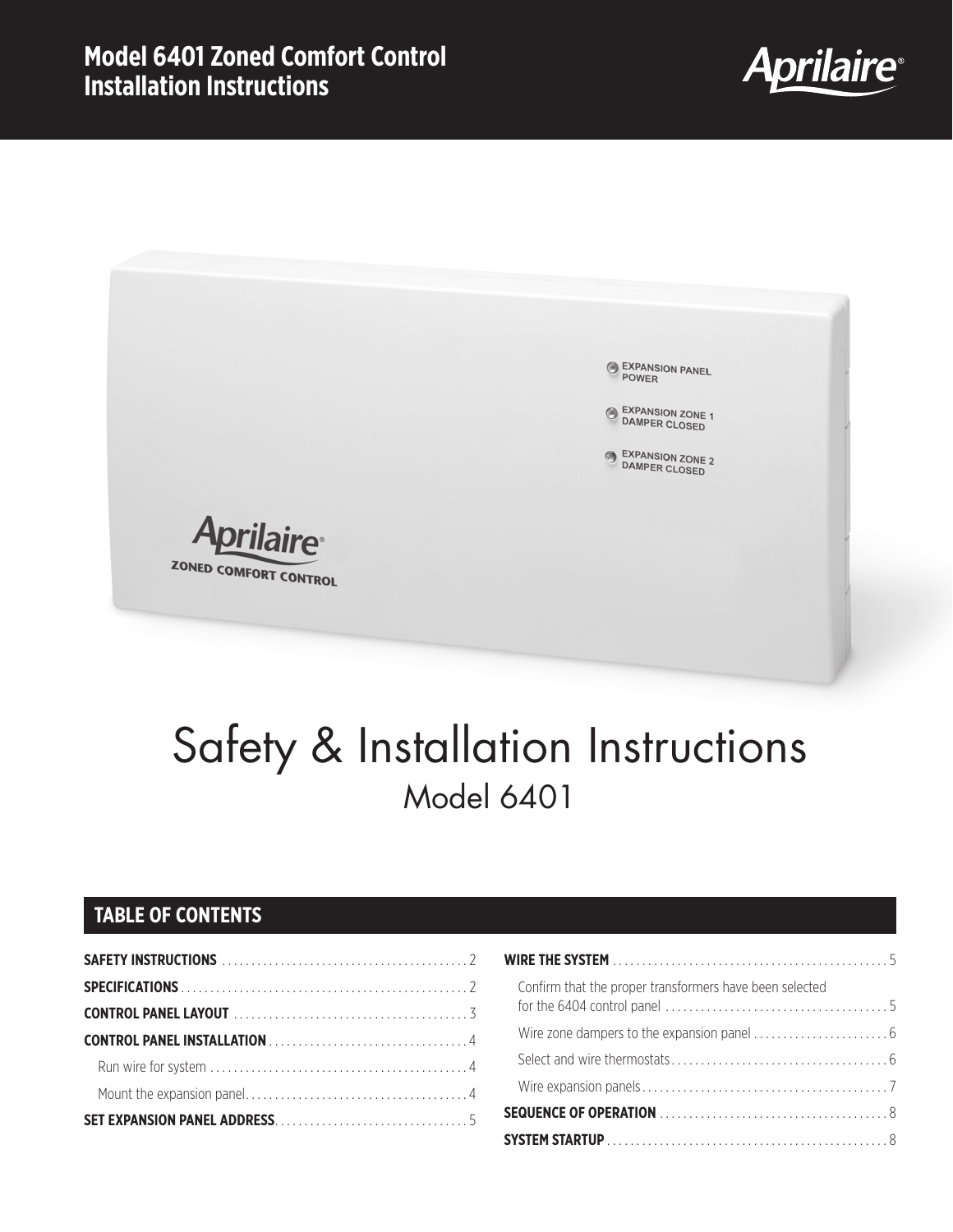

EXPANSION PANEL EXPANSION ZONE 1<br>DAMPER CLOSED EXPANSION ZONE 2<br>DAMPER CLOSED **Aprilaire** ZONED COMFORT CONTROL

# Safety & Installation Instructions Model 6401

### **TABLE OF CONTENTS**

| Confirm that the proper transformers have been selected |
|---------------------------------------------------------|
|                                                         |
|                                                         |
|                                                         |
|                                                         |
|                                                         |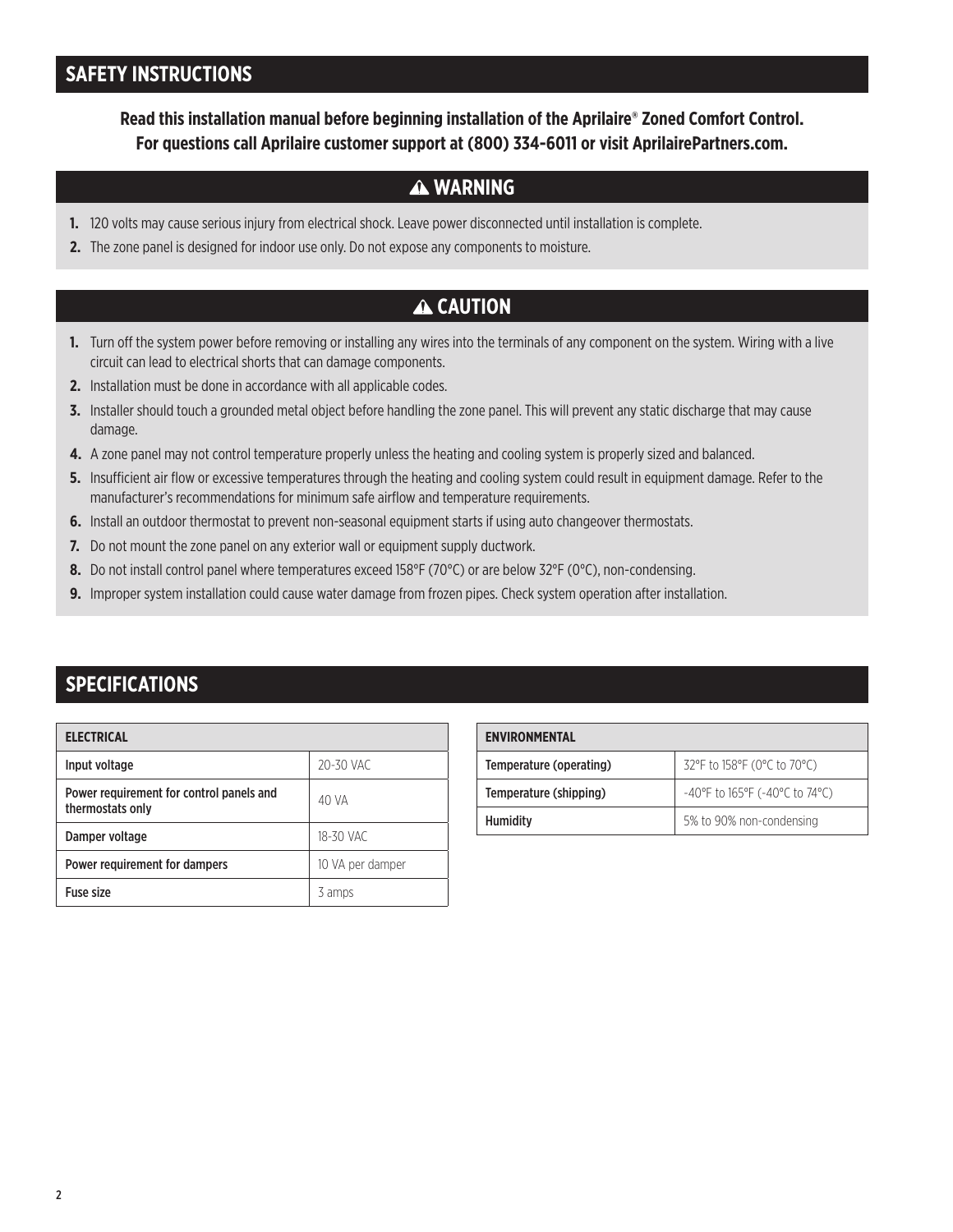### **SAFETY INSTRUCTIONS**

**Read this installation manual before beginning installation of the Aprilaire® Zoned Comfort Control. For questions call Aprilaire customer support at (800) 334-6011 or visit AprilairePartners.com.**

### **WARNING**

- **1.** 120 volts may cause serious injury from electrical shock. Leave power disconnected until installation is complete.
- **2.** The zone panel is designed for indoor use only. Do not expose any components to moisture.

### **A CAUTION**

- **1.** Turn off the system power before removing or installing any wires into the terminals of any component on the system. Wiring with a live circuit can lead to electrical shorts that can damage components.
- **2.** Installation must be done in accordance with all applicable codes.
- **3.** Installer should touch a grounded metal object before handling the zone panel. This will prevent any static discharge that may cause damage.
- **4.** A zone panel may not control temperature properly unless the heating and cooling system is properly sized and balanced.
- **5.** Insufficient air flow or excessive temperatures through the heating and cooling system could result in equipment damage. Refer to the manufacturer's recommendations for minimum safe airflow and temperature requirements.
- **6.** Install an outdoor thermostat to prevent non-seasonal equipment starts if using auto changeover thermostats.
- **7.** Do not mount the zone panel on any exterior wall or equipment supply ductwork.
- **8.** Do not install control panel where temperatures exceed 158°F (70°C) or are below 32°F (0°C), non-condensing.
- **9.** Improper system installation could cause water damage from frozen pipes. Check system operation after installation.

### **SPECIFICATIONS**

| <b>ELECTRICAL</b>                                            |                  |  |
|--------------------------------------------------------------|------------------|--|
| Input voltage                                                | 20-30 VAC        |  |
| Power requirement for control panels and<br>thermostats only | 40 VA            |  |
| Damper voltage                                               | 18-30 VAC        |  |
| Power requirement for dampers                                | 10 VA per damper |  |
| <b>Fuse size</b>                                             | 3 amps           |  |

| <b>ENVIRONMENTAL</b>    |                                          |
|-------------------------|------------------------------------------|
| Temperature (operating) | 32°F to 158°F (0°C to 70°C)              |
| Temperature (shipping)  | $-40^{\circ}$ F to 165°F (-40°C to 74°C) |
| <b>Humidity</b>         | 5% to 90% non-condensing                 |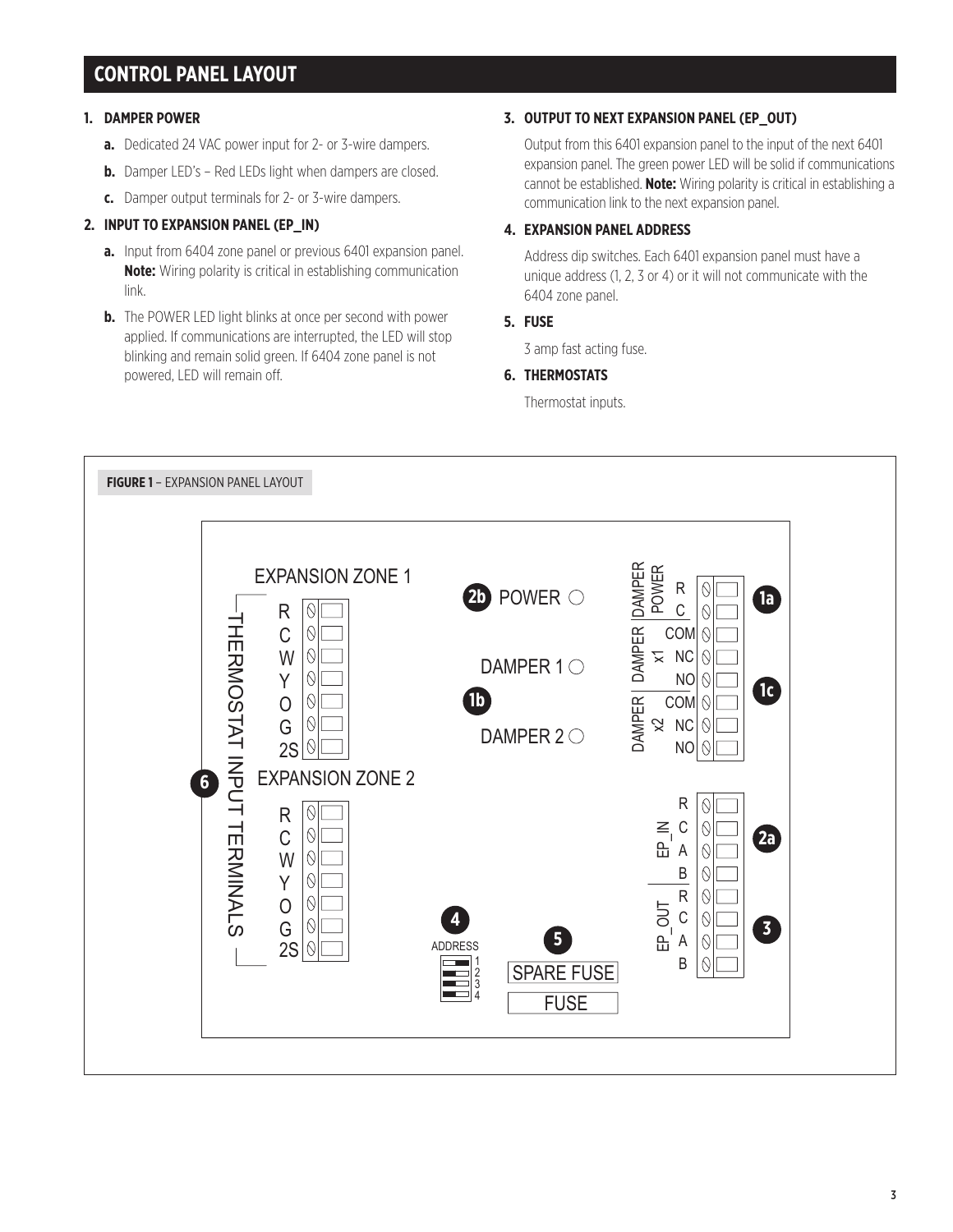### **CONTROL PANEL LAYOUT**

#### **1. DAMPER POWER**

- **a.** Dedicated 24 VAC power input for 2- or 3-wire dampers.
- **b.** Damper LED's Red LEDs light when dampers are closed.
- **c.** Damper output terminals for 2- or 3-wire dampers.

### **2. INPUT TO EXPANSION PANEL (EP\_IN)**

- **a.** Input from 6404 zone panel or previous 6401 expansion panel. **Note:** Wiring polarity is critical in establishing communication link.
- **b.** The POWER LED light blinks at once per second with power applied. If communications are interrupted, the LED will stop blinking and remain solid green. If 6404 zone panel is not powered, LED will remain off.

#### **3. OUTPUT TO NEXT EXPANSION PANEL (EP\_OUT)**

 Output from this 6401 expansion panel to the input of the next 6401 expansion panel. The green power LED will be solid if communications cannot be established. **Note:** Wiring polarity is critical in establishing a communication link to the next expansion panel.

### **4. EXPANSION PANEL ADDRESS**

 Address dip switches. Each 6401 expansion panel must have a unique address (1, 2, 3 or 4) or it will not communicate with the 6404 zone panel.

#### **5. FUSE**

3 amp fast acting fuse.

### **6. THERMOSTATS**

Thermostat inputs.

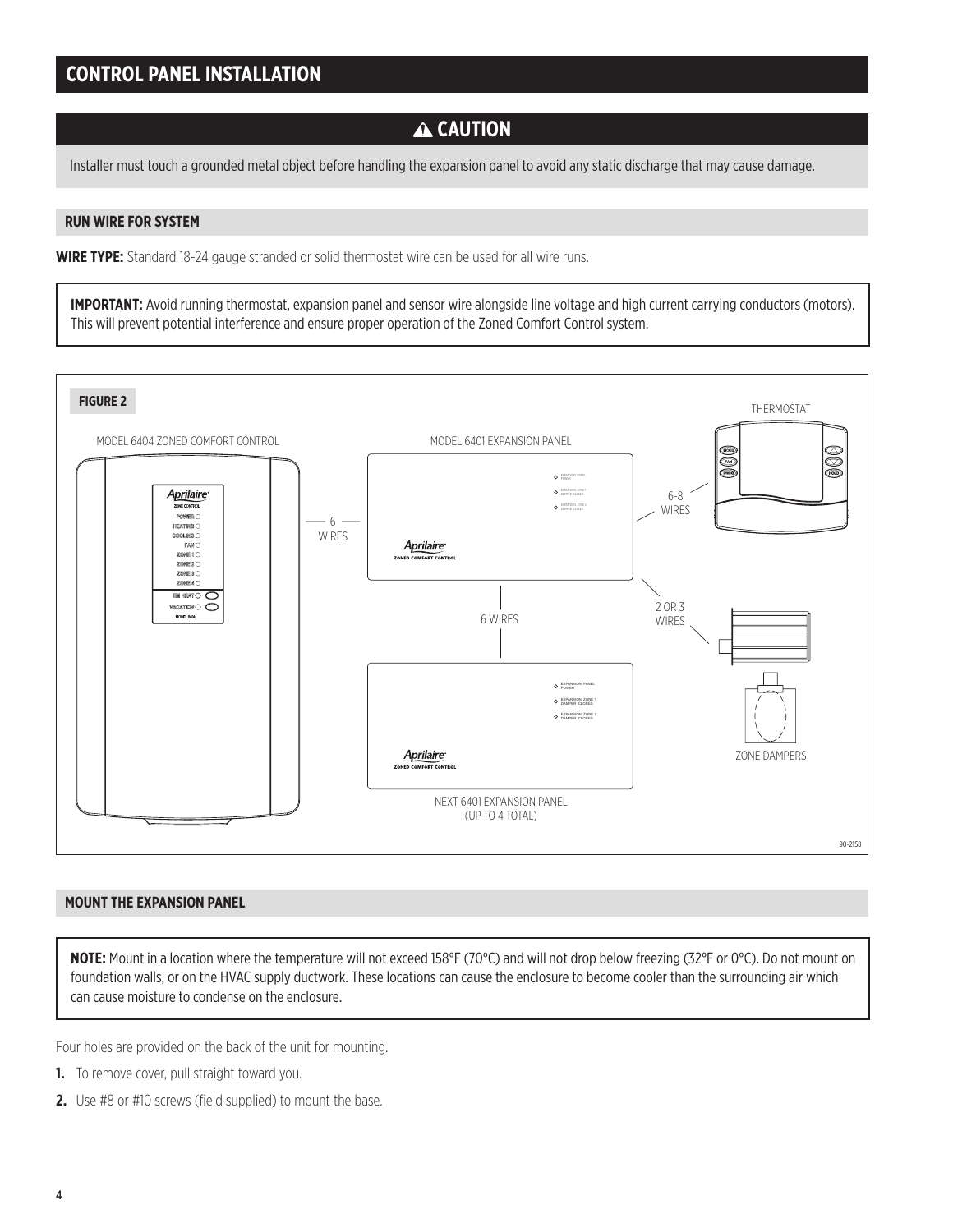### **A CAUTION**

Installer must touch a grounded metal object before handling the expansion panel to avoid any static discharge that may cause damage.

#### **RUN WIRE FOR SYSTEM**

**WIRE TYPE:** Standard 18-24 gauge stranded or solid thermostat wire can be used for all wire runs.

**IMPORTANT:** Avoid running thermostat, expansion panel and sensor wire alongside line voltage and high current carrying conductors (motors). This will prevent potential interference and ensure proper operation of the Zoned Comfort Control system.



#### **MOUNT THE EXPANSION PANEL**

**NOTE:** Mount in a location where the temperature will not exceed 158°F (70°C) and will not drop below freezing (32°F or 0°C). Do not mount on foundation walls, or on the HVAC supply ductwork. These locations can cause the enclosure to become cooler than the surrounding air which can cause moisture to condense on the enclosure.

Four holes are provided on the back of the unit for mounting.

- **1.** To remove cover, pull straight toward you.
- **2.** Use #8 or #10 screws (field supplied) to mount the base.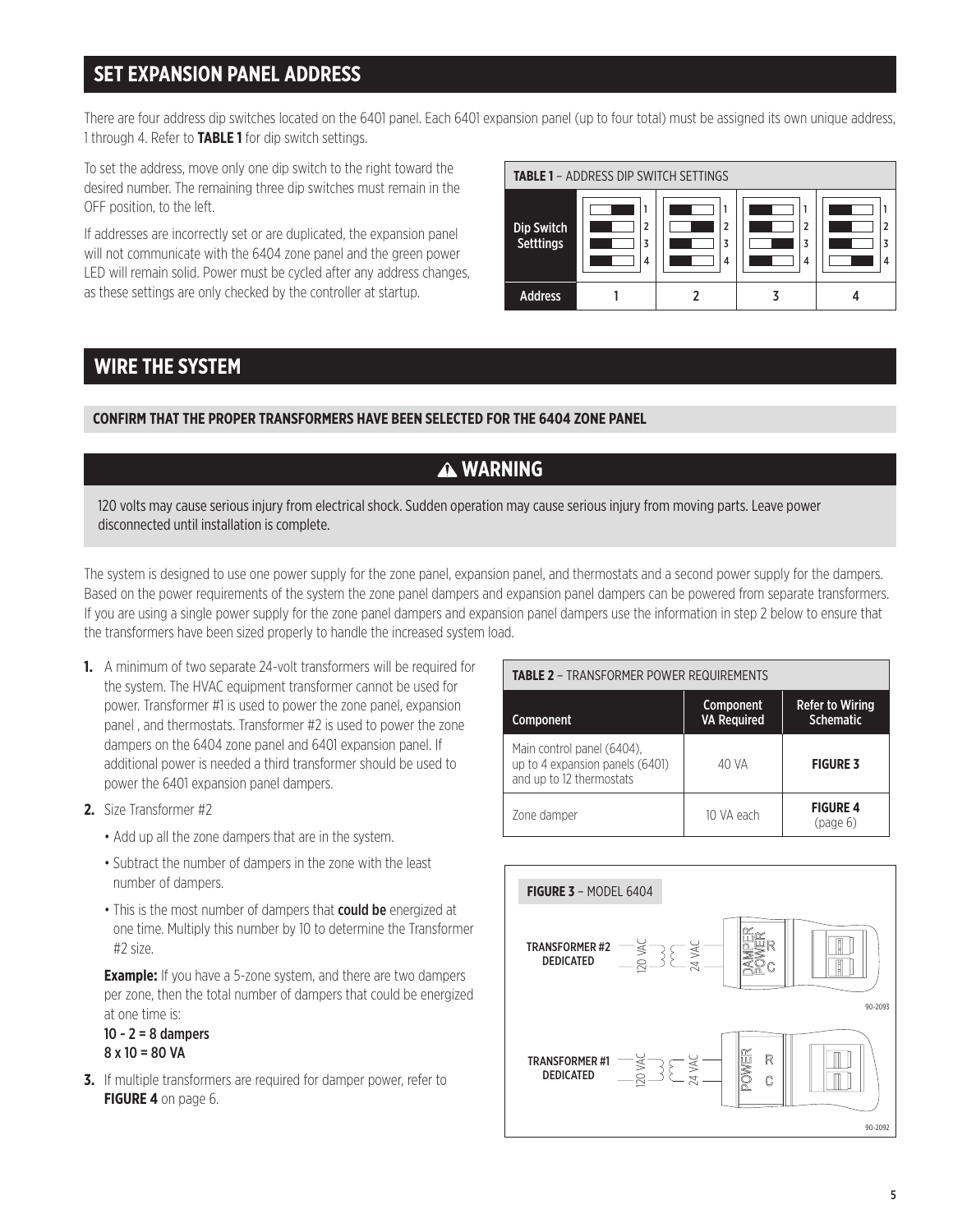### **SET EXPANSION PANEL ADDRESS**

There are four address dip switches located on the 6401 panel. Each 6401 expansion panel (up to four total) must be assigned its own unique address, 1 through 4. Refer to **TABLE 1** for dip switch settings.

To set the address, move only one dip switch to the right toward the desired number. The remaining three dip switches must remain in the OFF position, to the left.

If addresses are incorrectly set or are duplicated, the expansion panel will not communicate with the 6404 zone panel and the green power LED will remain solid. Power must be cycled after any address changes, as these settings are only checked by the controller at startup.



### **WIRE THE SYSTEM**

**CONFIRM THAT THE PROPER TRANSFORMERS HAVE BEEN SELECTED FOR THE 6404 ZONE PANEL**

### **WARNING**

120 volts may cause serious injury from electrical shock. Sudden operation may cause serious injury from moving parts. Leave power disconnected until installation is complete.

The system is designed to use one power supply for the zone panel, expansion panel, and thermostats and a second power supply for the dampers. Based on the power requirements of the system the zone panel dampers and expansion panel dampers can be powered from separate transformers. If you are using a single power supply for the zone panel dampers and expansion panel dampers use the information in step 2 below to ensure that the transformers have been sized properly to handle the increased system load.

- **1.** A minimum of two separate 24-volt transformers will be required for the system. The HVAC equipment transformer cannot be used for power. Transformer #1 is used to power the zone panel, expansion panel , and thermostats. Transformer #2 is used to power the zone dampers on the 6404 zone panel and 6401 expansion panel. If additional power is needed a third transformer should be used to power the 6401 expansion panel dampers.
- **2.** Size Transformer #2
	- Add up all the zone dampers that are in the system.
	- Subtract the number of dampers in the zone with the least number of dampers.
	- This is the most number of dampers that **could be** energized at one time. Multiply this number by 10 to determine the Transformer #2 size.

 **Example:** If you have a 5-zone system, and there are two dampers per zone, then the total number of dampers that could be energized at one time is:

 $10 - 2 = 8$  dampers 8 x 10 = 80 VA

**3.** If multiple transformers are required for damper power, refer to **FIGURE 4** on page 6.

#### **TABLE 2** – TRANSFORMER POWER REQUIREMENTS Component Component VA Required Refer to Wiring **Schematic** Main control panel (6404), up to 4 expansion panels (6401) and up to 12 thermostats 40 VA **FIGURE 3** Zone damper 10 VA each **FIGURE 4** (page 6)

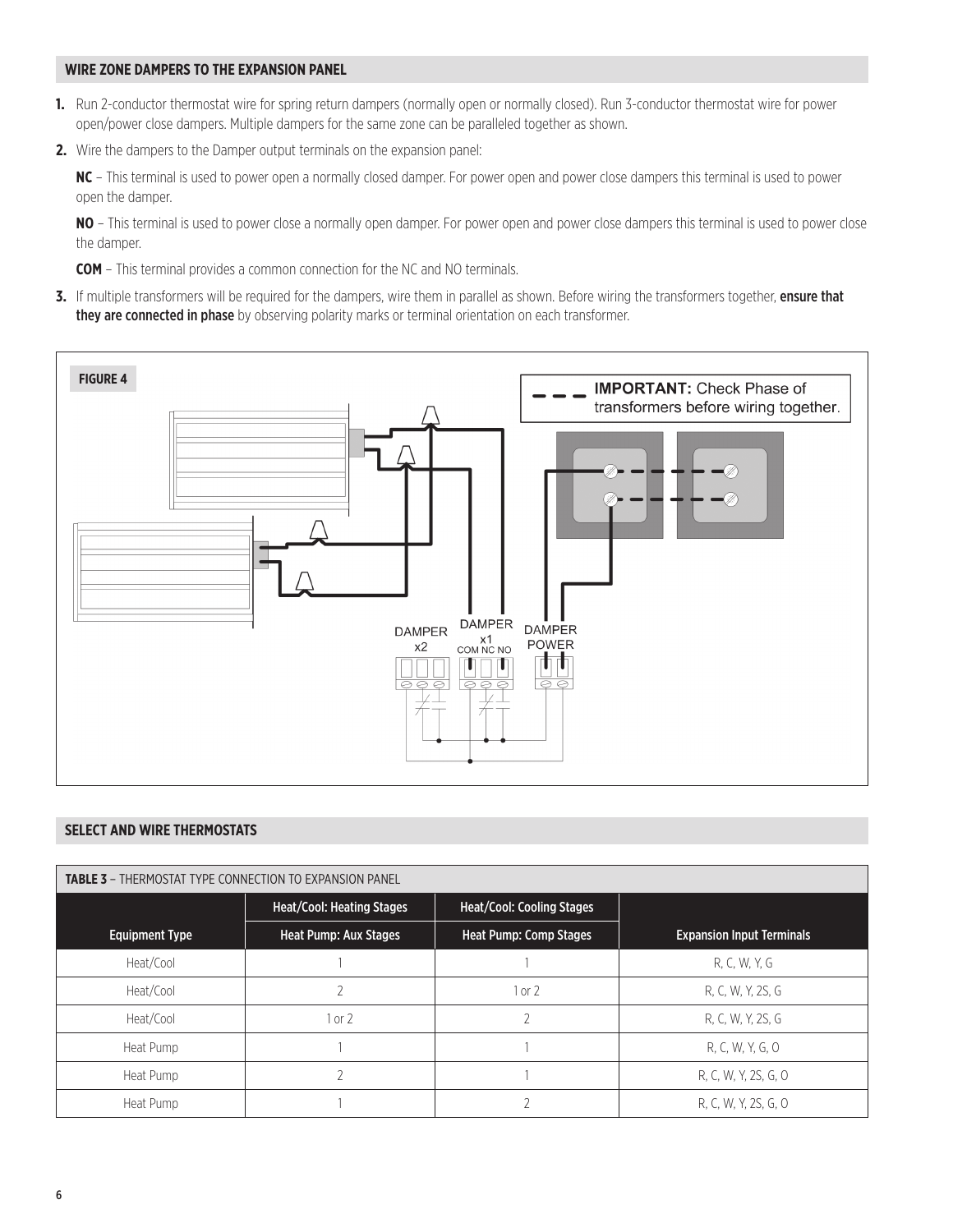#### **WIRE ZONE DAMPERS TO THE EXPANSION PANEL**

- **1.** Run 2-conductor thermostat wire for spring return dampers (normally open or normally closed). Run 3-conductor thermostat wire for power open/power close dampers. Multiple dampers for the same zone can be paralleled together as shown.
- **2.** Wire the dampers to the Damper output terminals on the expansion panel:

**NC** – This terminal is used to power open a normally closed damper. For power open and power close dampers this terminal is used to power open the damper.

**NO** – This terminal is used to power close a normally open damper. For power open and power close dampers this terminal is used to power close the damper.

**COM** – This terminal provides a common connection for the NC and NO terminals.

**3.** If multiple transformers will be required for the dampers, wire them in parallel as shown. Before wiring the transformers together, ensure that they are connected in phase by observing polarity marks or terminal orientation on each transformer.



### **SELECT AND WIRE THERMOSTATS**

| <b>TABLE 3 - THERMOSTAT TYPE CONNECTION TO EXPANSION PANEL</b> |                                  |                                  |                                  |  |
|----------------------------------------------------------------|----------------------------------|----------------------------------|----------------------------------|--|
|                                                                | <b>Heat/Cool: Heating Stages</b> | <b>Heat/Cool: Cooling Stages</b> |                                  |  |
| <b>Equipment Type</b>                                          | Heat Pump: Aux Stages            | <b>Heat Pump: Comp Stages</b>    | <b>Expansion Input Terminals</b> |  |
| Heat/Cool                                                      |                                  |                                  | R, C, W, Y, G                    |  |
| Heat/Cool                                                      | 2                                | 1 or 2                           | R, C, W, Y, 2S, G                |  |
| Heat/Cool                                                      | 1 or 2                           |                                  | R, C, W, Y, 2S, G                |  |
| Heat Pump                                                      |                                  |                                  | R, C, W, Y, G, O                 |  |
| Heat Pump                                                      | ำ                                |                                  | R, C, W, Y, 2S, G, O             |  |
| Heat Pump                                                      |                                  |                                  | R, C, W, Y, 2S, G, O             |  |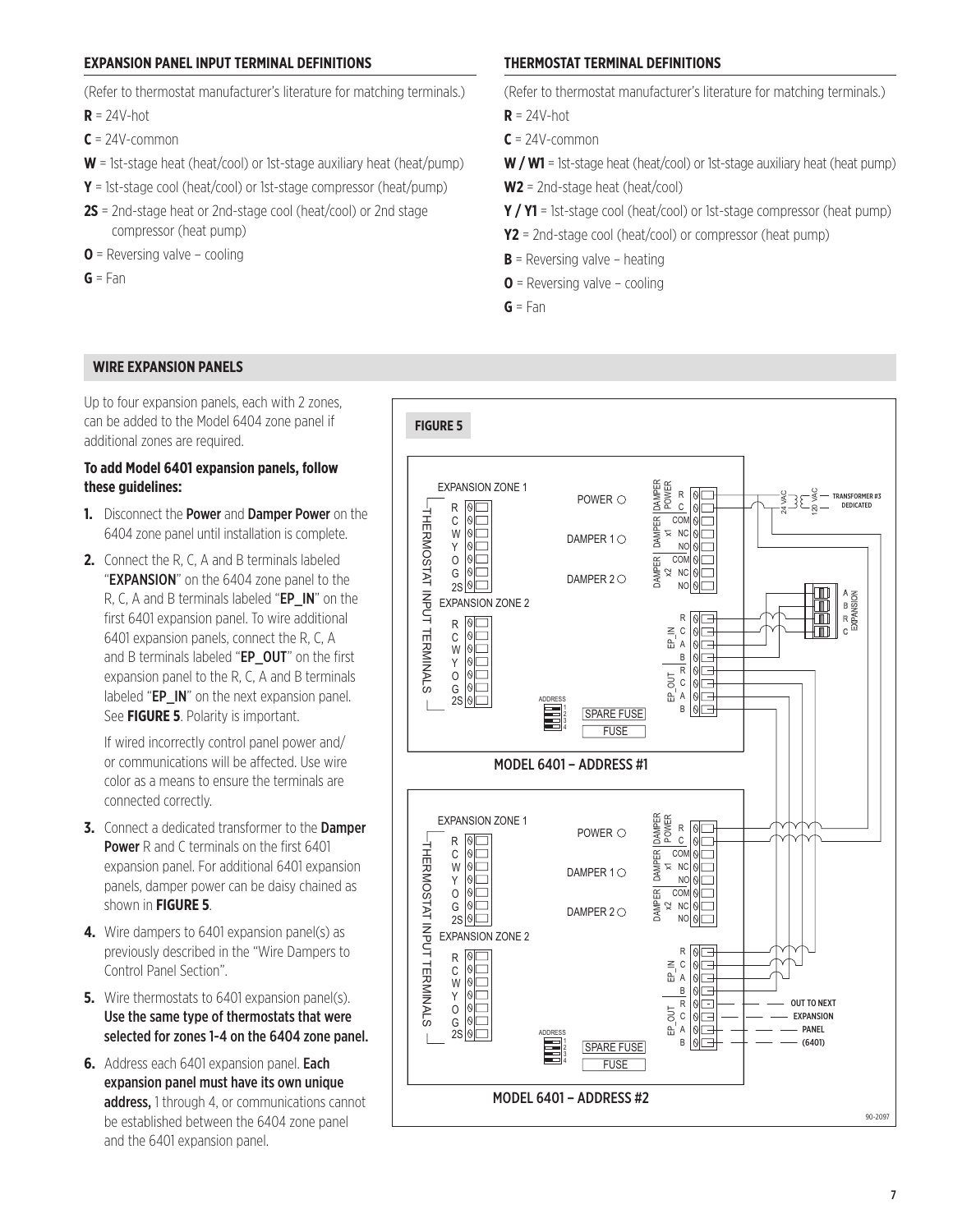#### **EXPANSION PANEL INPUT TERMINAL DEFINITIONS**

(Refer to thermostat manufacturer's literature for matching terminals.)

- $R = 24V$ -hot
- $C = 24V$ -common
- **W** = 1st-stage heat (heat/cool) or 1st-stage auxiliary heat (heat/pump)
- **Y** = 1st-stage cool (heat/cool) or 1st-stage compressor (heat/pump)
- **2S** = 2nd-stage heat or 2nd-stage cool (heat/cool) or 2nd stage compressor (heat pump)
- **O** = Reversing valve cooling
- $G = Fan$

### **THERMOSTAT TERMINAL DEFINITIONS**

(Refer to thermostat manufacturer's literature for matching terminals.)

- $R = 24V$ -hot
- **C** = 24V-common
- **W / W1** = 1st-stage heat (heat/cool) or 1st-stage auxiliary heat (heat pump)
- **W2** = 2nd-stage heat (heat/cool)
- **Y / Y1** = 1st-stage cool (heat/cool) or 1st-stage compressor (heat pump)
- **Y2** = 2nd-stage cool (heat/cool) or compressor (heat pump)
- **B** = Reversing valve heating
- **O** = Reversing valve cooling
- **G** = Fan

#### **WIRE EXPANSION PANELS**

Up to four expansion panels, each with 2 zones, can be added to the Model 6404 zone panel if additional zones are required.

#### **To add Model 6401 expansion panels, follow these guidelines:**

- **1.** Disconnect the Power and Damper Power on the 6404 zone panel until installation is complete.
- **2.** Connect the R, C, A and B terminals labeled "**EXPANSION**" on the 6404 zone panel to the R, C, A and B terminals labeled "EP\_IN" on the first 6401 expansion panel. To wire additional 6401 expansion panels, connect the R, C, A and B terminals labeled "EP\_OUT" on the first expansion panel to the R, C, A and B terminals labeled "EP IN" on the next expansion panel. See **FIGURE 5**. Polarity is important.

 If wired incorrectly control panel power and/ or communications will be affected. Use wire color as a means to ensure the terminals are connected correctly.

- **3.** Connect a dedicated transformer to the Damper **Power** R and C terminals on the first 6401 expansion panel. For additional 6401 expansion panels, damper power can be daisy chained as shown in **FIGURE 5**.
- **4.** Wire dampers to 6401 expansion panel(s) as previously described in the "Wire Dampers to Control Panel Section".
- **5.** Wire thermostats to 6401 expansion panel(s). Use the same type of thermostats that were selected for zones 1-4 on the 6404 zone panel.
- **6.** Address each 6401 expansion panel. Each expansion panel must have its own unique address, 1 through 4, or communications cannot be established between the 6404 zone panel and the 6401 expansion panel.